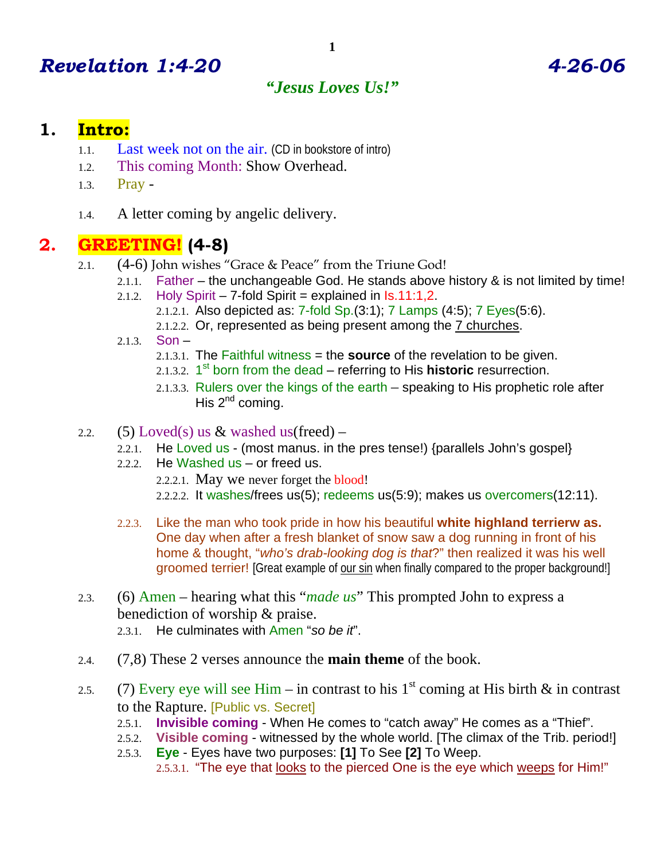# *Revelation 1:4-20 4-26-06*

#### *"Jesus Loves Us!"*

#### **1. Intro:**

- 1.1. Last week not on the air. (CD in bookstore of intro)
- 1.2. This coming Month: Show Overhead.
- 1.3. Pray -
- 1.4. A letter coming by angelic delivery.

#### **2. GREETING! (4-8)**

- 2.1. (4-6) John wishes "Grace & Peace" from the Triune God!
	- 2.1.1. Father the unchangeable God. He stands above history & is not limited by time! 2.1.2. Holy Spirit – 7-fold Spirit = explained in  $Is.11:1.2$ .
		- 2.1.2.1. Also depicted as: 7-fold Sp.(3:1); 7 Lamps (4:5); 7 Eyes(5:6).
		- 2.1.2.2. Or, represented as being present among the 7 churches.
		- 2.1.3. Son
			- 2.1.3.1. The Faithful witness = the **source** of the revelation to be given.
			- 2.1.3.2. 1<sup>st</sup> born from the dead referring to His **historic** resurrection.
			- 2.1.3.3. Rulers over the kings of the earth speaking to His prophetic role after His  $2^{nd}$  coming.
- 2.2. (5) Loved(s) us  $&$  washed us(freed)
	- 2.2.1. He Loved us (most manus. in the pres tense!) {parallels John's gospel}
	- 2.2.2. He Washed us or freed us.
		- 2.2.2.1. May we never forget the blood!
		- 2.2.2.2. It washes/frees us(5); redeems us(5:9); makes us overcomers(12:11).
	- 2.2.3. Like the man who took pride in how his beautiful **white highland terrierw as.** One day when after a fresh blanket of snow saw a dog running in front of his home & thought, "*who's drab-looking dog is that*?" then realized it was his well groomed terrier! [Great example of our sin when finally compared to the proper background!]
- 2.3. (6) Amen hearing what this "*made us*" This prompted John to express a benediction of worship & praise. 2.3.1. He culminates with Amen "*so be it*".
- 2.4. (7,8) These 2 verses announce the **main theme** of the book.
- 2.5. (7) Every eye will see Him in contrast to his 1<sup>st</sup> coming at His birth & in contrast to the Rapture. [Public vs. Secret]
	- 2.5.1. **Invisible coming** When He comes to "catch away" He comes as a "Thief".
	- 2.5.2. **Visible coming** witnessed by the whole world. [The climax of the Trib. period!]
	- 2.5.3. **Eye** Eyes have two purposes: **[1]** To See **[2]** To Weep. 2.5.3.1. "The eye that looks to the pierced One is the eye which weeps for Him!"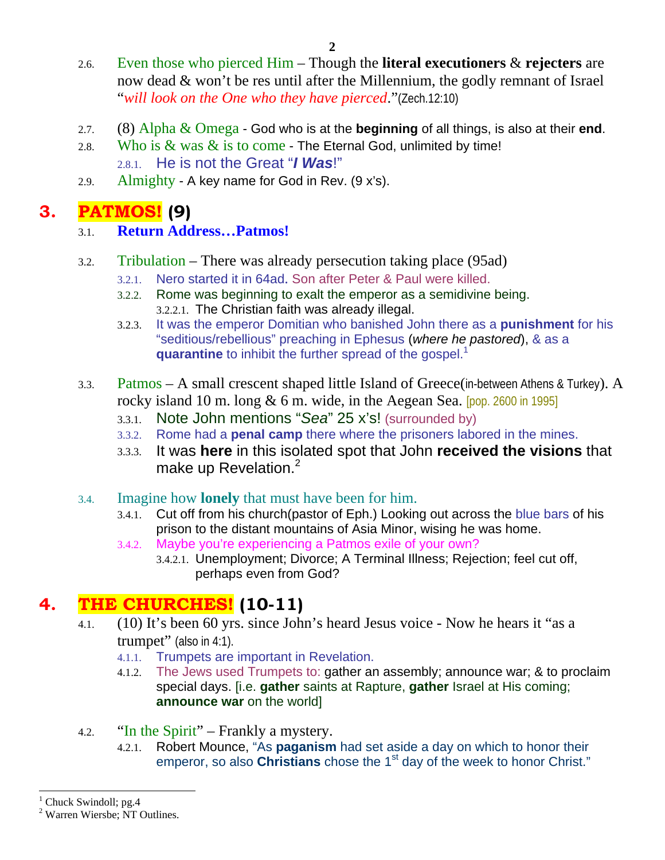- 2.6. Even those who pierced Him Though the **literal executioners** & **rejecters** are now dead & won't be res until after the Millennium, the godly remnant of Israel "*will look on the One who they have pierced*."(Zech.12:10)
- 2.7. (8) Alpha & Omega God who is at the **beginning** of all things, is also at their **end**.
- 2.8. Who is  $\&$  was  $\&$  is to come The Eternal God, unlimited by time! 2.8.1. He is not the Great "*I Was*!"
- 2.9. Almighty A key name for God in Rev. (9 x's).

### **3. PATMOS! (9)**

#### 3.1. **Return Address…Patmos!**

- 3.2. Tribulation There was already persecution taking place (95ad)
	- 3.2.1. Nero started it in 64ad. Son after Peter & Paul were killed.
	- 3.2.2. Rome was beginning to exalt the emperor as a semidivine being. 3.2.2.1. The Christian faith was already illegal.
	- 3.2.3. It was the emperor Domitian who banished John there as a **punishment** for his "seditious/rebellious" preaching in Ephesus (*where he pastored*), & as a **quarantine** to inhibit the further spread of the gospel.<sup>1</sup>
- 3.3. Patmos A small crescent shaped little Island of Greece(in-between Athens & Turkey). A rocky island 10 m. long  $& 6$  m. wide, in the Aegean Sea. [pop. 2600 in 1995]
	- 3.3.1. Note John mentions "*Sea*" 25 x's! (surrounded by)
	- 3.3.2. Rome had a **penal camp** there where the prisoners labored in the mines.
	- 3.3.3. It was **here** in this isolated spot that John **received the visions** that make up Revelation.<sup>2</sup>
- 3.4. Imagine how **lonely** that must have been for him.
	- 3.4.1. Cut off from his church(pastor of Eph.) Looking out across the blue bars of his prison to the distant mountains of Asia Minor, wising he was home.
	- 3.4.2. Maybe you're experiencing a Patmos exile of your own?
		- 3.4.2.1. Unemployment; Divorce; A Terminal Illness; Rejection; feel cut off, perhaps even from God?

# **4. THE CHURCHES! (10-11)**

- 4.1. (10) It's been 60 yrs. since John's heard Jesus voice Now he hears it "as a trumpet" (also in 4:1).
	- 4.1.1. Trumpets are important in Revelation.
	- 4.1.2. The Jews used Trumpets to: gather an assembly; announce war; & to proclaim special days. [i.e. **gather** saints at Rapture, **gather** Israel at His coming; **announce war** on the world]
- 4.2. "In the Spirit" Frankly a mystery.
	- 4.2.1. Robert Mounce, "As **paganism** had set aside a day on which to honor their emperor, so also **Christians** chose the 1<sup>st</sup> day of the week to honor Christ."

 $\overline{a}$ 

<sup>1</sup> Chuck Swindoll; pg.4

<sup>2</sup> Warren Wiersbe; NT Outlines.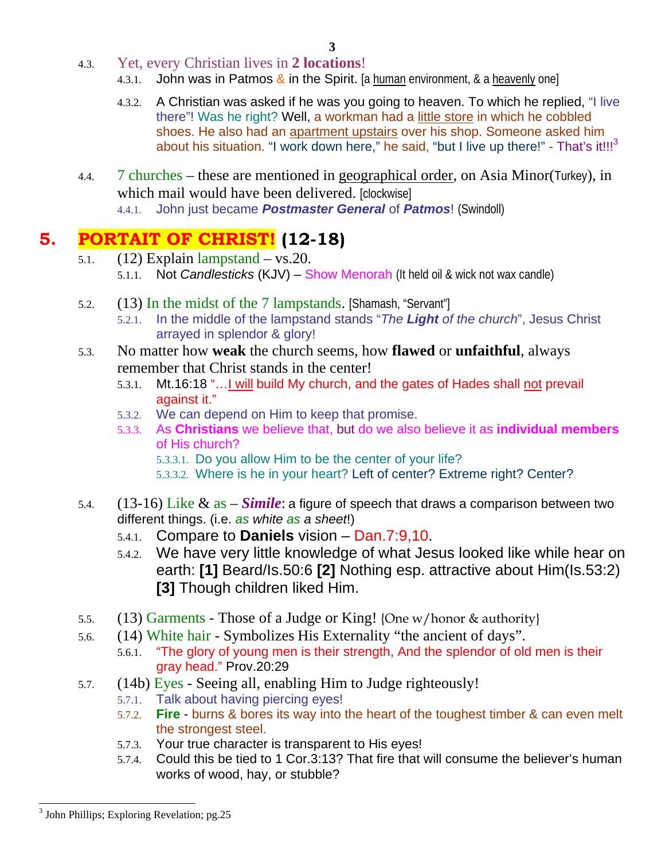- 4.3. Yet, every Christian lives in **2 locations**!
	- 4.3.1. John was in Patmos & in the Spirit. [a human environment, & a heavenly one]
	- 4.3.2. A Christian was asked if he was you going to heaven. To which he replied, "I live there"! Was he right? Well, a workman had a little store in which he cobbled shoes. He also had an apartment upstairs over his shop. Someone asked him about his situation. "I work down here," he said, "but I live up there!" - That's it!!! $3$
- 4.4. 7 churches these are mentioned in geographical order, on Asia Minor(Turkey), in which mail would have been delivered. [clockwise] 4.4.1. John just became *Postmaster General* of *Patmos*! (Swindoll)

# **5. PORTAIT OF CHRIST! (12-18)**

- 5.1.  $(12)$  Explain lampstand vs. 20. 5.1.1. Not *Candlesticks* (KJV) – Show Menorah (It held oil & wick not wax candle)
- 5.2. (13) In the midst of the 7 lampstands. [Shamash, "Servant"]
	- 5.2.1. In the middle of the lampstand stands "*The Light of the church*", Jesus Christ arrayed in splendor & glory!
- 5.3. No matter how **weak** the church seems, how **flawed** or **unfaithful**, always remember that Christ stands in the center!
	- 5.3.1. Mt.16:18 "…I will build My church, and the gates of Hades shall not prevail against it."
	- 5.3.2. We can depend on Him to keep that promise.
	- 5.3.3. As **Christians** we believe that, but do we also believe it as **individual members** of His church?
		- 5.3.3.1. Do you allow Him to be the center of your life?
		- 5.3.3.2. Where is he in your heart? Left of center? Extreme right? Center?
- 5.4. (13-16) Like & as *Simile*: a figure of speech that draws a comparison between two different things. (i.e. *as white as a sheet*!)
	- 5.4.1. Compare to **Daniels** vision Dan.7:9,10.
	- 5.4.2. We have very little knowledge of what Jesus looked like while hear on earth: **[1]** Beard/Is.50:6 **[2]** Nothing esp. attractive about Him(Is.53:2) **[3]** Though children liked Him.
- 5.5. (13) Garments Those of a Judge or King! {One w/honor & authority}
- 5.6. (14) White hair Symbolizes His Externality "the ancient of days".
	- 5.6.1. "The glory of young men is their strength, And the splendor of old men is their gray head." Prov.20:29
- 5.7. (14b) Eyes Seeing all, enabling Him to Judge righteously!
	- 5.7.1. Talk about having piercing eyes!
	- 5.7.2. **Fire** burns & bores its way into the heart of the toughest timber & can even melt the strongest steel.
	- 5.7.3. Your true character is transparent to His eyes!
	- 5.7.4. Could this be tied to 1 Cor.3:13? That fire that will consume the believer's human works of wood, hay, or stubble?

<sup>-</sup><sup>3</sup> John Phillips; Exploring Revelation; pg.25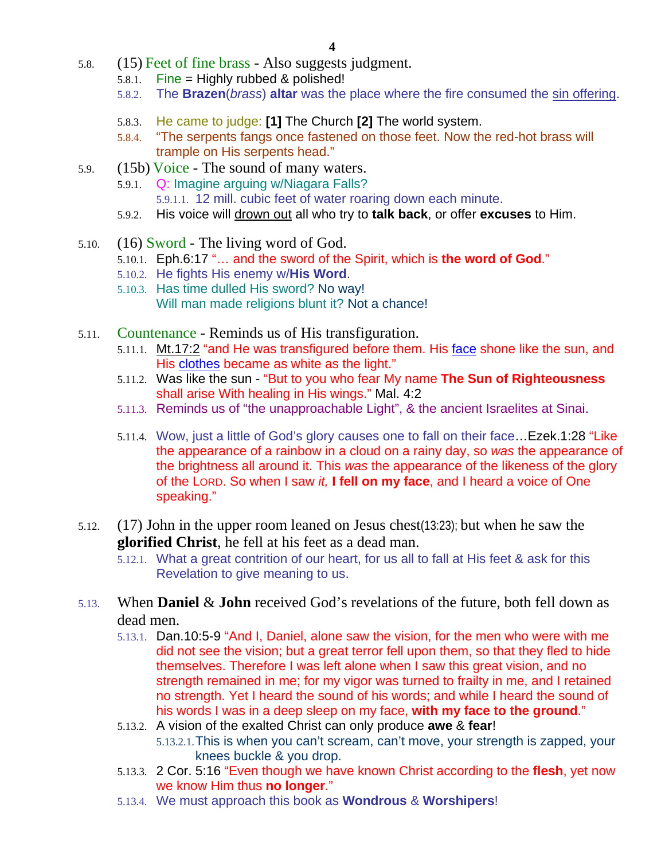- 5.8. (15) Feet of fine brass Also suggests judgment.
	- 5.8.1. Fine = Highly rubbed & polished!
	- 5.8.2. The **Brazen**(*brass*) **altar** was the place where the fire consumed the sin offering.
	- 5.8.3. He came to judge: **[1]** The Church **[2]** The world system.
	- 5.8.4. "The serpents fangs once fastened on those feet. Now the red-hot brass will trample on His serpents head."
- 5.9. (15b) Voice The sound of many waters.
	- 5.9.1. Q: Imagine arguing w/Niagara Falls?
		- 5.9.1.1. 12 mill. cubic feet of water roaring down each minute.
	- 5.9.2. His voice will drown out all who try to **talk back**, or offer **excuses** to Him.
- 5.10. (16) Sword The living word of God.
	- 5.10.1. Eph.6:17 "… and the sword of the Spirit, which is **the word of God**."
	- 5.10.2. He fights His enemy w/**His Word**.
	- 5.10.3. Has time dulled His sword? No way! Will man made religions blunt it? Not a chance!
- 5.11. Countenance Reminds us of His transfiguration.
	- 5.11.1. Mt.17:2 "and He was transfigured before them. His face shone like the sun, and His clothes became as white as the light."
	- 5.11.2. Was like the sun "But to you who fear My name **The Sun of Righteousness** shall arise With healing in His wings." Mal. 4:2
	- 5.11.3. Reminds us of "the unapproachable Light", & the ancient Israelites at Sinai.
	- 5.11.4. Wow, just a little of God's glory causes one to fall on their face... Ezek.1:28 "Like the appearance of a rainbow in a cloud on a rainy day, so *was* the appearance of the brightness all around it. This *was* the appearance of the likeness of the glory of the LORD. So when I saw *it,* **I fell on my face**, and I heard a voice of One speaking."
- 5.12. (17) John in the upper room leaned on Jesus chest(13:23); but when he saw the **glorified Christ**, he fell at his feet as a dead man.
	- 5.12.1. What a great contrition of our heart, for us all to fall at His feet & ask for this Revelation to give meaning to us.
- 5.13. When **Daniel** & **John** received God's revelations of the future, both fell down as dead men.
	- 5.13.1. Dan.10:5-9 "And I, Daniel, alone saw the vision, for the men who were with me did not see the vision; but a great terror fell upon them, so that they fled to hide themselves. Therefore I was left alone when I saw this great vision, and no strength remained in me; for my vigor was turned to frailty in me, and I retained no strength. Yet I heard the sound of his words; and while I heard the sound of his words I was in a deep sleep on my face, **with my face to the ground**."
	- 5.13.2. A vision of the exalted Christ can only produce **awe** & **fear**! 5.13.2.1.This is when you can't scream, can't move, your strength is zapped, your knees buckle & you drop.
	- 5.13.3. 2 Cor. 5:16 "Even though we have known Christ according to the **flesh**, yet now we know Him thus **no longer**."
	- 5.13.4. We must approach this book as **Wondrous** & **Worshipers**!